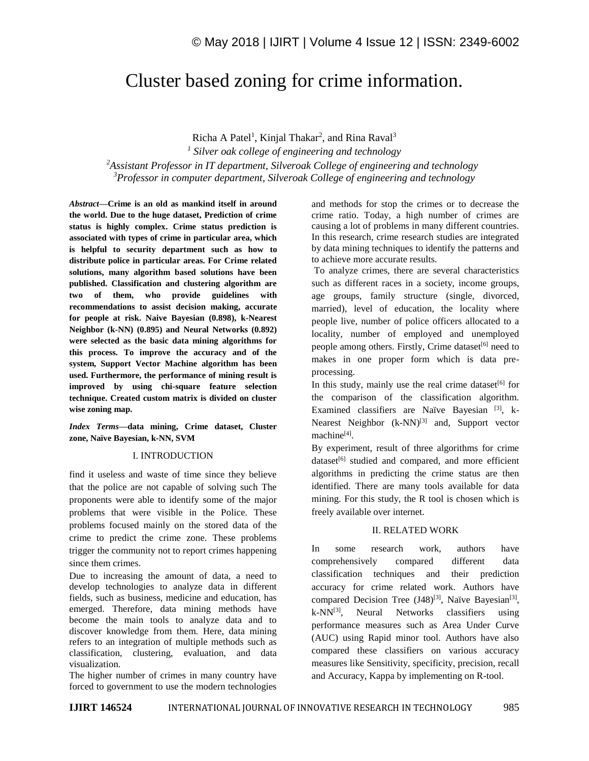# Cluster based zoning for crime information.

Richa A Patel<sup>1</sup>, Kinjal Thakar<sup>2</sup>, and Rina Raval<sup>3</sup> *Silver oak college of engineering and technology Assistant Professor in IT department, Silveroak College of engineering and technology Professor in computer department, Silveroak College of engineering and technology*

*Abstract—***Crime is an old as mankind itself in around the world. Due to the huge dataset, Prediction of crime status is highly complex. Crime status prediction is associated with types of crime in particular area, which is helpful to security department such as how to distribute police in particular areas. For Crime related solutions, many algorithm based solutions have been published. Classification and clustering algorithm are two of them, who provide guidelines with recommendations to assist decision making, accurate for people at risk. Naive Bayesian (0.898), k-Nearest Neighbor (k-NN) (0.895) and Neural Networks (0.892) were selected as the basic data mining algorithms for this process. To improve the accuracy and of the system, Support Vector Machine algorithm has been used. Furthermore, the performance of mining result is improved by using chi-square feature selection technique. Created custom matrix is divided on cluster wise zoning map.** 

*Index Terms—***data mining, Crime dataset, Cluster zone, Naïve Bayesian, k-NN, SVM**

#### I. INTRODUCTION

find it useless and waste of time since they believe that the police are not capable of solving such The proponents were able to identify some of the major problems that were visible in the Police. These problems focused mainly on the stored data of the crime to predict the crime zone. These problems trigger the community not to report crimes happening since them crimes.

Due to increasing the amount of data, a need to develop technologies to analyze data in different fields, such as business, medicine and education, has emerged. Therefore, data mining methods have become the main tools to analyze data and to discover knowledge from them. Here, data mining refers to an integration of multiple methods such as classification, clustering, evaluation, and data visualization.

The higher number of crimes in many country have forced to government to use the modern technologies and methods for stop the crimes or to decrease the crime ratio. Today, a high number of crimes are causing a lot of problems in many different countries. In this research, crime research studies are integrated by data mining techniques to identify the patterns and to achieve more accurate results.

To analyze crimes, there are several characteristics such as different races in a society, income groups, age groups, family structure (single, divorced, married), level of education, the locality where people live, number of police officers allocated to a locality, number of employed and unemployed people among others. Firstly, Crime dataset<sup>[6]</sup> need to makes in one proper form which is data preprocessing.

In this study, mainly use the real crime dataset<sup>[6]</sup> for the comparison of the classification algorithm. Examined classifiers are Naïve Bayesian [3], k-Nearest Neighbor (k-NN)<sup>[3]</sup> and, Support vector machine<sup>[4]</sup>.

By experiment, result of three algorithms for crime dataset<sup>[6]</sup> studied and compared, and more efficient algorithms in predicting the crime status are then identified. There are many tools available for data mining. For this study, the R tool is chosen which is freely available over internet.

#### II. RELATED WORK

In some research work, authors have comprehensively compared different data classification techniques and their prediction accuracy for crime related work. Authors have compared Decision Tree (J48)<sup>[3]</sup>, Naïve Bayesian<sup>[3]</sup>,  $k-NN^{[3]}$ , Neural Networks classifiers using performance measures such as Area Under Curve (AUC) using Rapid minor tool. Authors have also compared these classifiers on various accuracy measures like Sensitivity, specificity, precision, recall and Accuracy, Kappa by implementing on R-tool.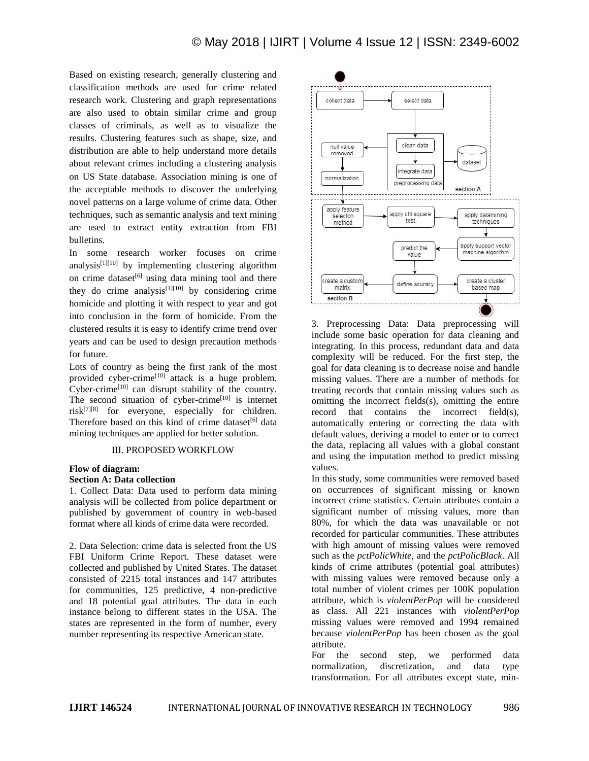Based on existing research, generally clustering and classification methods are used for crime related research work. Clustering and graph representations are also used to obtain similar crime and group classes of criminals, as well as to visualize the results. Clustering features such as shape, size, and distribution are able to help understand more details about relevant crimes including a clustering analysis on US State database. Association mining is one of the acceptable methods to discover the underlying novel patterns on a large volume of crime data. Other techniques, such as semantic analysis and text mining are used to extract entity extraction from FBI bulletins.

In some research worker focuses on crime analysis $[1][10]$  by implementing clustering algorithm on crime dataset<sup>[6]</sup> using data mining tool and there they do crime analysis<sup>[1][10]</sup> by considering crime homicide and plotting it with respect to year and got into conclusion in the form of homicide. From the clustered results it is easy to identify crime trend over years and can be used to design precaution methods for future.

Lots of country as being the first rank of the most provided cyber-crime<sup>[10]</sup> attack is a huge problem. Cyber-crime<sup>[10]</sup> can disrupt stability of the country. The second situation of cyber-crime $[10]$  is internet risk[7][8] for everyone, especially for children. Therefore based on this kind of crime dataset<sup>[6]</sup> data mining techniques are applied for better solution.

### III. PROPOSED WORKFLOW

#### **Flow of diagram:**

## **Section A: Data collection**

1. Collect Data: Data used to perform data mining analysis will be collected from police department or published by government of country in web-based format where all kinds of crime data were recorded.

2. Data Selection: crime data is selected from the US FBI Uniform Crime Report. These dataset were collected and published by United States. The dataset consisted of 2215 total instances and 147 attributes for communities, 125 predictive, 4 non-predictive and 18 potential goal attributes. The data in each instance belong to different states in the USA. The states are represented in the form of number, every number representing its respective American state.



3. Preprocessing Data: Data preprocessing will include some basic operation for data cleaning and integrating. In this process, redundant data and data complexity will be reduced. For the first step, the goal for data cleaning is to decrease noise and handle missing values. There are a number of methods for treating records that contain missing values such as omitting the incorrect fields(s), omitting the entire record that contains the incorrect field(s), automatically entering or correcting the data with default values, deriving a model to enter or to correct the data, replacing all values with a global constant and using the imputation method to predict missing values.

In this study, some communities were removed based on occurrences of significant missing or known incorrect crime statistics. Certain attributes contain a significant number of missing values, more than 80%, for which the data was unavailable or not recorded for particular communities. These attributes with high amount of missing values were removed such as the *pctPolicWhite*, and the *pctPolicBlack*. All kinds of crime attributes (potential goal attributes) with missing values were removed because only a total number of violent crimes per 100K population attribute, which is *violentPerPop* will be considered as class. All 221 instances with *violentPerPop*  missing values were removed and 1994 remained because *violentPerPop* has been chosen as the goal attribute.

For the second step, we performed data normalization, discretization, and data type transformation. For all attributes except state, min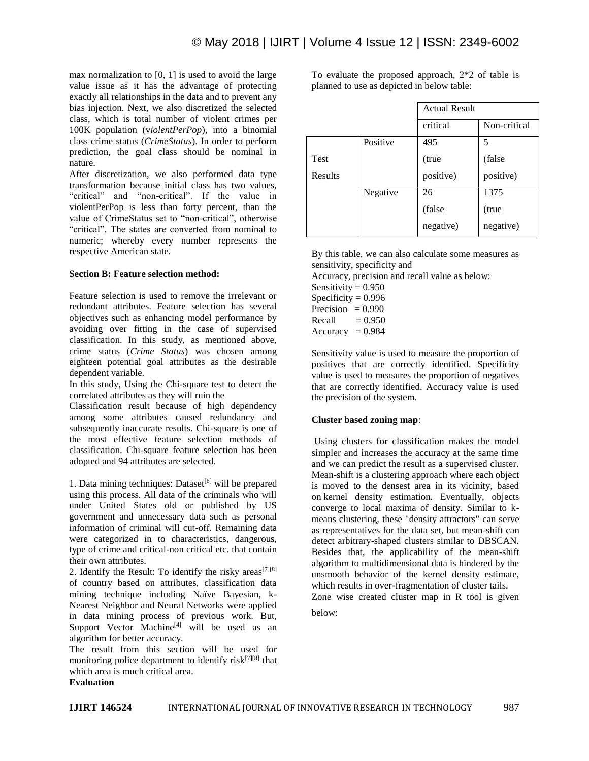max normalization to [0, 1] is used to avoid the large value issue as it has the advantage of protecting exactly all relationships in the data and to prevent any bias injection. Next, we also discretized the selected class, which is total number of violent crimes per 100K population (v*iolentPerPop*), into a binomial class crime status (*CrimeStatus*). In order to perform prediction, the goal class should be nominal in nature.

After discretization, we also performed data type transformation because initial class has two values, "critical" and "non-critical". If the value in violentPerPop is less than forty percent, than the value of CrimeStatus set to "non-critical", otherwise "critical". The states are converted from nominal to numeric; whereby every number represents the respective American state.

#### **Section B: Feature selection method:**

Feature selection is used to remove the irrelevant or redundant attributes. Feature selection has several objectives such as enhancing model performance by avoiding over fitting in the case of supervised classification. In this study, as mentioned above, crime status (*Crime Status*) was chosen among eighteen potential goal attributes as the desirable dependent variable.

In this study, Using the Chi-square test to detect the correlated attributes as they will ruin the

Classification result because of high dependency among some attributes caused redundancy and subsequently inaccurate results. Chi-square is one of the most effective feature selection methods of classification. Chi-square feature selection has been adopted and 94 attributes are selected.

1. Data mining techniques: Dataset<sup>[6]</sup> will be prepared using this process. All data of the criminals who will under United States old or published by US government and unnecessary data such as personal information of criminal will cut-off. Remaining data were categorized in to characteristics, dangerous, type of crime and critical-non critical etc. that contain their own attributes.

2. Identify the Result: To identify the risky areas<sup>[7][8]</sup> of country based on attributes, classification data mining technique including Naïve Bayesian, k-Nearest Neighbor and Neural Networks were applied in data mining process of previous work. But, Support Vector Machine<sup>[4]</sup> will be used as an algorithm for better accuracy.

The result from this section will be used for monitoring police department to identify risk $^{[7][8]}$  that which area is much critical area.

**Evaluation**

To evaluate the proposed approach, 2\*2 of table is planned to use as depicted in below table:

|             |          | <b>Actual Result</b> |              |
|-------------|----------|----------------------|--------------|
|             |          | critical             | Non-critical |
|             | Positive | 495                  | 5            |
| <b>Test</b> |          | (true                | (false)      |
| Results     |          | positive)            | positive)    |
|             | Negative | 26                   | 1375         |
|             |          | (false)              | (true        |
|             |          | negative)            | negative)    |

By this table, we can also calculate some measures as sensitivity, specificity and

Accuracy, precision and recall value as below:

Sensitivity  $= 0.950$ Specificity  $= 0.996$ Precision  $= 0.990$ Recall  $= 0.950$  $Accuracy = 0.984$ 

Sensitivity value is used to measure the proportion of positives that are correctly identified. Specificity value is used to measures the proportion of negatives that are correctly identified. Accuracy value is used the precision of the system.

#### **Cluster based zoning map**:

Using clusters for classification makes the model simpler and increases the accuracy at the same time and we can predict the result as a supervised cluster. Mean-shift is a clustering approach where each object is moved to the densest area in its vicinity, based on kernel density estimation. Eventually, objects converge to local maxima of density. Similar to kmeans clustering, these "density attractors" can serve as representatives for the data set, but mean-shift can detect arbitrary-shaped clusters similar to DBSCAN. Besides that, the applicability of the mean-shift algorithm to multidimensional data is hindered by the unsmooth behavior of the kernel density estimate, which results in over-fragmentation of cluster tails. Zone wise created cluster map in R tool is given

below: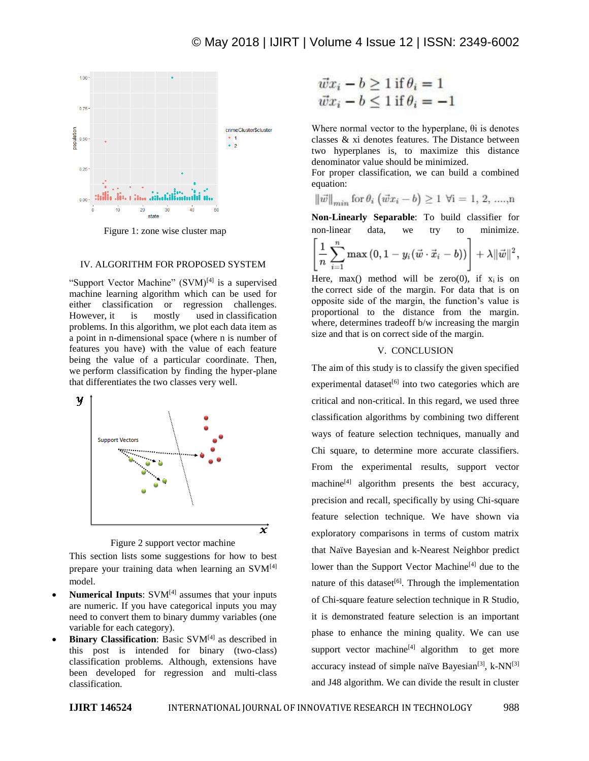

Figure 1: zone wise cluster map

### IV. ALGORITHM FOR PROPOSED SYSTEM

"Support Vector Machine" (SVM)<sup>[4]</sup> is a supervised machine learning algorithm which can be used for either classification or regression challenges. However, it is mostly used in classification problems. In this algorithm, we plot each data item as a point in n-dimensional space (where n is number of features you have) with the value of each feature being the value of a particular coordinate. Then, we perform classification by finding the hyper-plane that differentiates the two classes very well.





This section lists some suggestions for how to best prepare your training data when learning an SVM<sup>[4]</sup> model.

- **Numerical Inputs**: SVM<sup>[4]</sup> assumes that your inputs are numeric. If you have categorical inputs you may need to convert them to binary dummy variables (one variable for each category).
- **Binary Classification**: Basic SVM[4] as described in this post is intended for binary (two-class) classification problems. Although, extensions have been developed for regression and multi-class classification.

$$
\begin{aligned}\n\vec{w}x_i - b &\ge 1 \text{ if } \theta_i = 1 \\
\vec{w}x_i - b &\le 1 \text{ if } \theta_i = -1\n\end{aligned}
$$

Where normal vector to the hyperplane, θi is denotes classes & xi denotes features. The Distance between two hyperplanes is, to maximize this distance denominator value should be minimized.

For proper classification, we can build a combined equation:

$$
\|\vec{w}\|_{min} \text{ for } \theta_i \ (\vec{w}x_i - b) \ge 1 \ \forall i = 1, 2, \dots, n
$$

**Non-Linearly Separable**: To build classifier for non-linear data, we try to minimize.

$$
\left[\frac{1}{n}\sum_{i=1}^n \max\left(0,1-y_i(\vec{w}\cdot\vec{x}_i-b)\right)\right]+\lambda\|\vec{w}\|^2,
$$

Here, max() method will be zero(0), if  $x_i$  is on the correct side of the margin. For data that is on opposite side of the margin, the function's value is proportional to the distance from the margin. where, determines tradeoff b/w increasing the margin size and that is on correct side of the margin.

#### V. CONCLUSION

The aim of this study is to classify the given specified experimental dataset<sup>[6]</sup> into two categories which are critical and non-critical. In this regard, we used three classification algorithms by combining two different ways of feature selection techniques, manually and Chi square, to determine more accurate classifiers. From the experimental results, support vector machine<sup>[4]</sup> algorithm presents the best accuracy, precision and recall, specifically by using Chi-square feature selection technique. We have shown via exploratory comparisons in terms of custom matrix that Naïve Bayesian and k-Nearest Neighbor predict lower than the Support Vector Machine<sup>[4]</sup> due to the nature of this dataset<sup>[6]</sup>. Through the implementation of Chi-square feature selection technique in R Studio, it is demonstrated feature selection is an important phase to enhance the mining quality. We can use support vector machine $[4]$  algorithm to get more accuracy instead of simple naïve Bayesian<sup>[3]</sup>, k-NN<sup>[3]</sup> and J48 algorithm. We can divide the result in cluster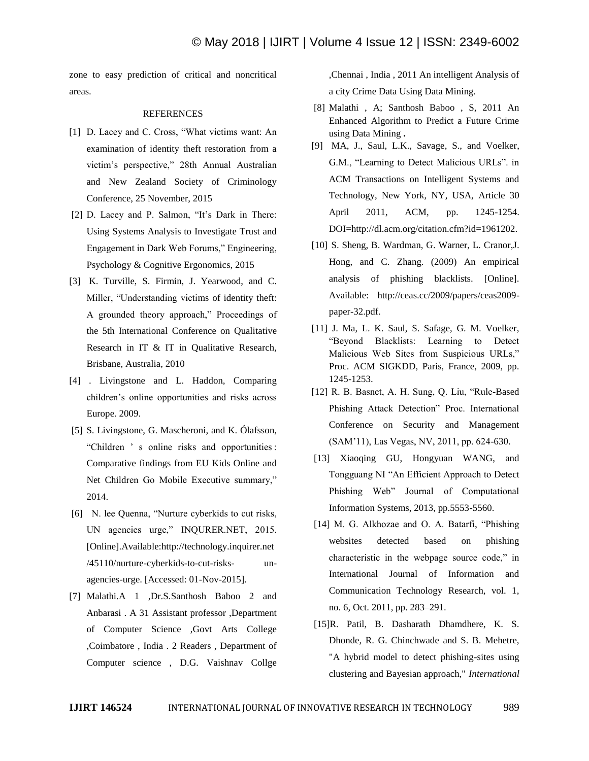zone to easy prediction of critical and noncritical areas.

#### REFERENCES

- [1] D. Lacey and C. Cross, "What victims want: An examination of identity theft restoration from a victim's perspective," 28th Annual Australian and New Zealand Society of Criminology Conference, 25 November, 2015
- [2] D. Lacey and P. Salmon, "It's Dark in There: Using Systems Analysis to Investigate Trust and Engagement in Dark Web Forums," Engineering, Psychology & Cognitive Ergonomics, 2015
- [3] K. Turville, S. Firmin, J. Yearwood, and C. Miller, "Understanding victims of identity theft: A grounded theory approach," Proceedings of the 5th International Conference on Qualitative Research in IT & IT in Qualitative Research, Brisbane, Australia, 2010
- [4] . Livingstone and L. Haddon, Comparing children's online opportunities and risks across Europe. 2009.
- [5] S. Livingstone, G. Mascheroni, and K. Ólafsson, "Children ' s online risks and opportunities : Comparative findings from EU Kids Online and Net Children Go Mobile Executive summary," 2014.
- [6] N. lee Quenna, "Nurture cyberkids to cut risks, UN agencies urge," INQURER.NET, 2015. [Online].Available:http://technology.inquirer.net /45110/nurture-cyberkids-to-cut-risks- unagencies-urge. [Accessed: 01-Nov-2015].
- [7] Malathi.A 1 ,Dr.S.Santhosh Baboo 2 and Anbarasi . A 31 Assistant professor ,Department of Computer Science ,Govt Arts College ,Coimbatore , India . 2 Readers , Department of Computer science , D.G. Vaishnav Collge

,Chennai , India , 2011 An intelligent Analysis of a city Crime Data Using Data Mining.

- [8] Malathi , A; Santhosh Baboo , S, 2011 An Enhanced Algorithm to Predict a Future Crime using Data Mining **.**
- [9] MA, J., Saul, L.K., Savage, S., and Voelker, G.M., "Learning to Detect Malicious URLs". in ACM Transactions on Intelligent Systems and Technology, New York, NY, USA, Article 30 April 2011, ACM, pp. 1245-1254. DOI=http://dl.acm.org/citation.cfm?id=1961202.
- [10] S. Sheng, B. Wardman, G. Warner, L. Cranor, J. Hong, and C. Zhang. (2009) An empirical analysis of phishing blacklists. [Online]. Available: http://ceas.cc/2009/papers/ceas2009 paper-32.pdf.
- [11] J. Ma, L. K. Saul, S. Safage, G. M. Voelker, "Beyond Blacklists: Learning to Detect Malicious Web Sites from Suspicious URLs," Proc. ACM SIGKDD, Paris, France, 2009, pp. 1245-1253.
- [12] R. B. Basnet, A. H. Sung, Q. Liu, "Rule-Based Phishing Attack Detection" Proc. International Conference on Security and Management (SAM'11), Las Vegas, NV, 2011, pp. 624-630.
- [13] Xiaoqing GU, Hongyuan WANG, and Tongguang NI "An Efficient Approach to Detect Phishing Web" Journal of Computational Information Systems, 2013, pp.5553-5560.
- [14] M. G. Alkhozae and O. A. Batarfi, "Phishing websites detected based on phishing characteristic in the webpage source code," in International Journal of Information and Communication Technology Research, vol. 1, no. 6, Oct. 2011, pp. 283–291.
- [15]R. Patil, B. Dasharath Dhamdhere, K. S. Dhonde, R. G. Chinchwade and S. B. Mehetre, "A hybrid model to detect phishing-sites using clustering and Bayesian approach," *International*